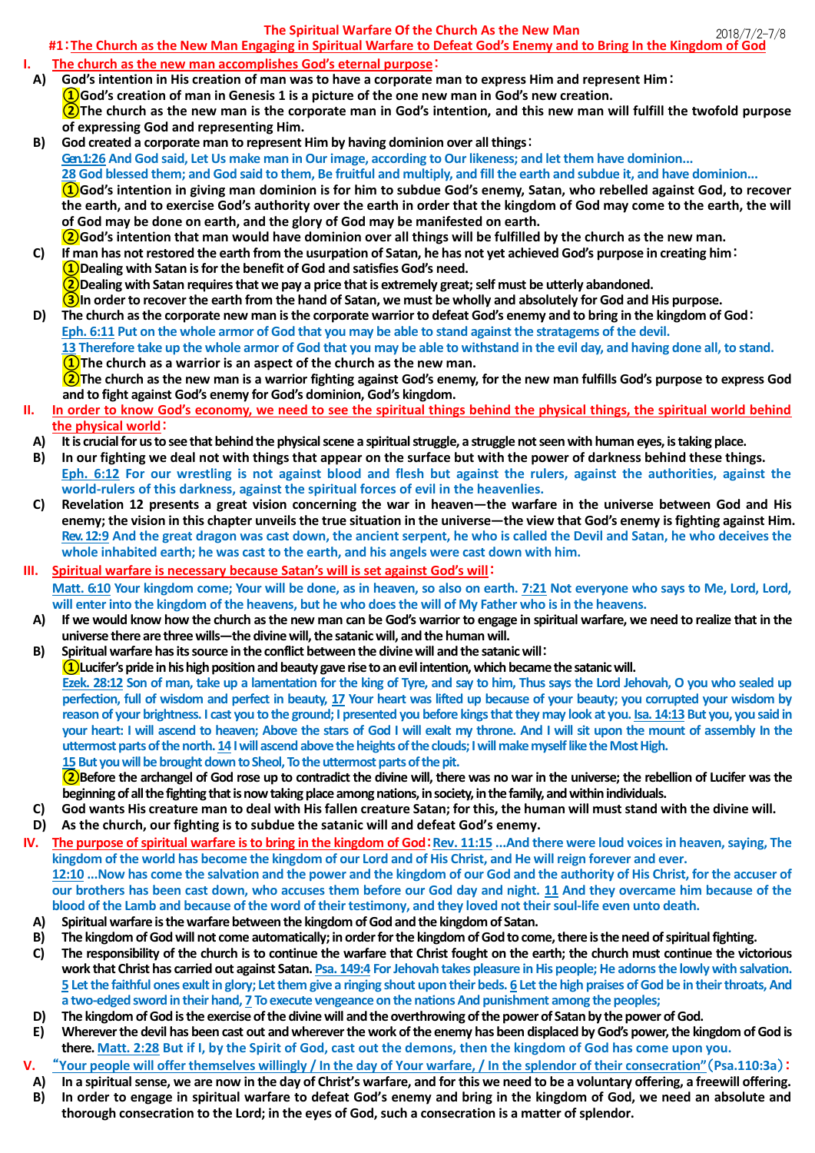## **The Spiritual Warfare Of the Church As the New Man**

2018/7/2-7/8 **#1**:**The Church as the New Man Engaging in Spiritual Warfare to Defeat God's Enemy and to Bring In the Kingdom of God**

- **I. The church as the new man accomplishes God's eternal purpose**:
- **A) God's intention in His creation of man was to have a corporate man to express Him and represent Him**: **①God's creation of man in Genesis 1 is a picture of the one new man in God's new creation. ②The church as the new man is the corporate man in God's intention, and this new man will fulfill the twofold purpose of expressing God and representing Him.**
- **B) God created a corporate man to represent Him by having dominion over all things**: **Gen. 1:26 And God said, Let Us make man in Our image, according to Our likeness; and let them have dominion... 28 God blessed them; and God said to them, Be fruitful and multiply, and fill the earth and subdue it, and have dominion... ①God's intention in giving man dominion is for him to subdue God's enemy, Satan, who rebelled against God, to recover the earth, and to exercise God's authority over the earth in order that the kingdom of God may come to the earth, the will of God may be done on earth, and the glory of God may be manifested on earth. ②God's intention that man would have dominion over all things will be fulfilled by the church as the new man.**
- **C) If man has not restored the earth from the usurpation of Satan, he has not yet achieved God's purpose in creating him**: **①Dealing with Satan is for the benefit of God and satisfies God's need. ②Dealing with Satan requires that we pay a price that is extremely great; self must be utterly abandoned. ③In order to recover the earth from the hand of Satan, we must be wholly and absolutely for God and His purpose.**
- **D) The church as the corporate new man is the corporate warrior to defeat God's enemy and to bring in the kingdom of God**: **Eph. 6:11 Put on the whole armor of God that you may be able to stand against the stratagems of the devil. 13 Therefore take up the whole armor of God that you may be able to withstand in the evil day, and having done all, to stand. ①The church as a warrior is an aspect of the church as the new man.**

**②The church as the new man is a warrior fighting against God's enemy, for the new man fulfills God's purpose to express God and to fight against God's enemy for God's dominion, God's kingdom.**

- **II. In order to know God's economy, we need to see the spiritual things behind the physical things, the spiritual world behind the physical world**:
	- **A) It is crucial for us to see that behind the physical scene a spiritual struggle, a struggle not seen with human eyes, is taking place.**
	- **B) In our fighting we deal not with things that appear on the surface but with the power of darkness behind these things. Eph. 6:12 For our wrestling is not against blood and flesh but against the rulers, against the authorities, against the world-rulers of this darkness, against the spiritual forces of evil in the heavenlies.**
	- **C) Revelation 12 presents a great vision concerning the war in heaven—the warfare in the universe between God and His enemy; the vision in this chapter unveils the true situation in the universe—the view that God's enemy is fighting against Him. Rev. 12:9 And the great dragon was cast down, the ancient serpent, he who is called the Devil and Satan, he who deceives the whole inhabited earth; he was cast to the earth, and his angels were cast down with him.**
- **III. Spiritual warfare is necessary because Satan's will is set against God's will**: **Matt. 6:10 Your kingdom come; Your will be done, as in heaven, so also on earth. 7:21 Not everyone who says to Me, Lord, Lord, will enter into the kingdom of the heavens, but he who does the will of My Father who is in the heavens.**
	- **A) If we would know how the church as the new man can be God's warrior to engage in spiritual warfare, we need to realize that in the universe there are three wills—the divine will, the satanic will, and the human will.**
	- **B) Spiritual warfare has its source in the conflict between the divine will and the satanic will**: **①Lucifer's pride in his high position and beauty gave rise to an evil intention, which became the satanic will. Ezek. 28:12 Son of man, take up a lamentation for the king of Tyre, and say to him, Thus says the Lord Jehovah, O you who sealed up perfection, full of wisdom and perfect in beauty, 17 Your heart was lifted up because of your beauty; you corrupted your wisdom by reason of your brightness. I cast you to the ground; I presented you before kings that they may look at you. Isa. 14:13 But you, you said in your heart: I will ascend to heaven; Above the stars of God I will exalt my throne. And I will sit upon the mount of assembly In the uttermost parts of the north. 14 I will ascend above the heights of the clouds; I will make myself like the Most High. 15 But you will be brought down to Sheol, To the uttermost parts of the pit.**

**②Before the archangel of God rose up to contradict the divine will, there was no war in the universe; the rebellion of Lucifer was the beginning of all the fighting that is now taking place among nations, in society, inthe family, and within individuals.**

- **C) God wants His creature man to deal with His fallen creature Satan; for this, the human will must stand with the divine will. D) As the church, our fighting is to subdue the satanic will and defeat God's enemy.**
- **IV. The purpose of spiritual warfare is to bring in the kingdom of God**:**Rev. 11:15 ...And there were loud voices in heaven, saying, The kingdom of the world has become the kingdom of our Lord and of His Christ, and He will reign forever and ever. 12:10 ...Now has come the salvation and the power and the kingdom of our God and the authority of His Christ, for the accuser of our brothers has been cast down, who accuses them before our God day and night. 11 And they overcame him because of the**
- **blood of the Lamb and because of the word of their testimony, and they loved not their soul-life even unto death. A) Spiritual warfare is the warfare between the kingdom of God and the kingdom of Satan.**
- **B) The kingdom of God will not come automatically; in order for the kingdom of God to come, there is the need of spiritual fighting.**
- **C) The responsibility of the church is to continue the warfare that Christ fought on the earth; the church must continue the victorious work that Christ has carried out against Satan. Psa. 149:4 For Jehovah takes pleasure in His people; He adorns the lowly with salvation. 5 Let the faithful ones exult in glory; Let them give a ringing shout upon their beds. 6 Let the high praises of God be in their throats, And a two-edged sword in their hand, 7 To execute vengeance on the nations And punishment among the peoples;**
- **D) The kingdom of God is the exercise of the divine will and the overthrowing of the power of Satan by the power of God.**
- **E) Wherever the devil has been cast out and wherever the work of the enemy has been displaced by God's power, the kingdom of God is there. Matt. 2:28 But if I, by the Spirit of God, cast out the demons, then the kingdom of God has come upon you.**
- **V.** "**Your people will offer themselves willingly / In the day of Your warfare, / In the splendor of their consecration"**(**Psa.110:3a**):
- **A) In a spiritual sense, we are now in the day of Christ's warfare, and for this we need to be a voluntary offering, a freewill offering.**
- **B) In order to engage in spiritual warfare to defeat God's enemy and bring in the kingdom of God, we need an absolute and thorough consecration to the Lord; in the eyes of God, such a consecration is a matter of splendor.**